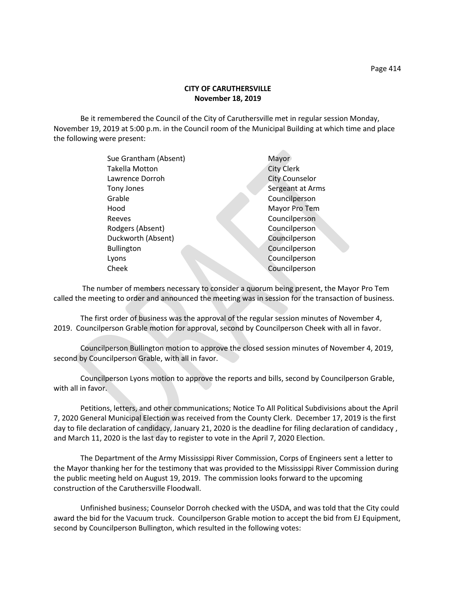Be it remembered the Council of the City of Caruthersville met in regular session Monday, November 19, 2019 at 5:00 p.m. in the Council room of the Municipal Building at which time and place the following were present:

**Allen** 

| Sue Grantham (Absent) | Mayor                 |
|-----------------------|-----------------------|
| <b>Takella Motton</b> | <b>City Clerk</b>     |
| Lawrence Dorroh       | <b>City Counselor</b> |
| Tony Jones            | Sergeant at Arms      |
| Grable                | Councilperson         |
| Hood                  | Mayor Pro Tem         |
| Reeves                | Councilperson         |
| Rodgers (Absent)      | Councilperson         |
| Duckworth (Absent)    | Councilperson         |
| <b>Bullington</b>     | Councilperson         |
| Lyons                 | Councilperson         |
| Cheek                 | Councilperson         |
|                       |                       |

 The number of members necessary to consider a quorum being present, the Mayor Pro Tem called the meeting to order and announced the meeting was in session for the transaction of business.

The first order of business was the approval of the regular session minutes of November 4, 2019. Councilperson Grable motion for approval, second by Councilperson Cheek with all in favor.

Councilperson Bullington motion to approve the closed session minutes of November 4, 2019, second by Councilperson Grable, with all in favor.

Councilperson Lyons motion to approve the reports and bills, second by Councilperson Grable, with all in favor.

Petitions, letters, and other communications; Notice To All Political Subdivisions about the April 7, 2020 General Municipal Election was received from the County Clerk. December 17, 2019 is the first day to file declaration of candidacy, January 21, 2020 is the deadline for filing declaration of candidacy , and March 11, 2020 is the last day to register to vote in the April 7, 2020 Election.

The Department of the Army Mississippi River Commission, Corps of Engineers sent a letter to the Mayor thanking her for the testimony that was provided to the Mississippi River Commission during the public meeting held on August 19, 2019. The commission looks forward to the upcoming construction of the Caruthersville Floodwall.

Unfinished business; Counselor Dorroh checked with the USDA, and was told that the City could award the bid for the Vacuum truck. Councilperson Grable motion to accept the bid from EJ Equipment, second by Councilperson Bullington, which resulted in the following votes: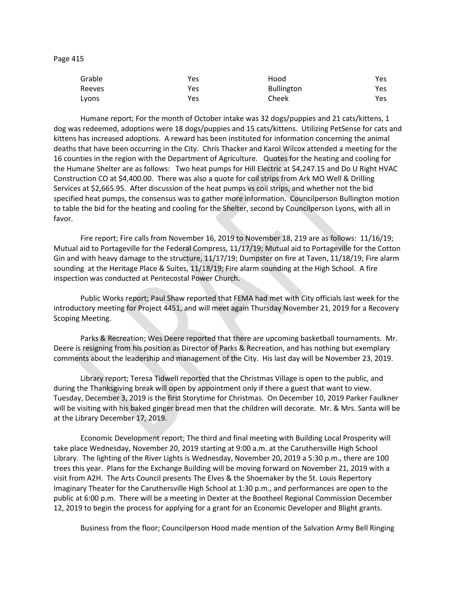Page 415

| Grable | Yes | Hood              | Yes  |
|--------|-----|-------------------|------|
| Reeves | Yes | <b>Bullington</b> | Yes. |
| Lyons  | Yes | Cheek             | Yes  |

Humane report; For the month of October intake was 32 dogs/puppies and 21 cats/kittens, 1 dog was redeemed, adoptions were 18 dogs/puppies and 15 cats/kittens. Utilizing PetSense for cats and kittens has increased adoptions. A reward has been instituted for information concerning the animal deaths that have been occurring in the City. Chris Thacker and Karol Wilcox attended a meeting for the 16 counties in the region with the Department of Agriculture. Quotes for the heating and cooling for the Humane Shelter are as follows: Two heat pumps for Hill Electric at \$4,247.15 and Do U Right HVAC Construction CO at \$4,400.00. There was also a quote for coil strips from Ark MO Well & Drilling Services at \$2,665.95. After discussion of the heat pumps vs coil strips, and whether not the bid specified heat pumps, the consensus was to gather more information. Councilperson Bullington motion to table the bid for the heating and cooling for the Shelter, second by Councilperson Lyons, with all in favor.

Fire report; Fire calls from November 16, 2019 to November 18, 219 are as follows: 11/16/19; Mutual aid to Portageville for the Federal Compress, 11/17/19; Mutual aid to Portageville for the Cotton Gin and with heavy damage to the structure, 11/17/19; Dumpster on fire at Taven, 11/18/19; Fire alarm sounding at the Heritage Place & Suites, 11/18/19; Fire alarm sounding at the High School. A fire inspection was conducted at Pentecostal Power Church.

Public Works report; Paul Shaw reported that FEMA had met with City officials last week for the introductory meeting for Project 4451, and will meet again Thursday November 21, 2019 for a Recovery Scoping Meeting.

Parks & Recreation; Wes Deere reported that there are upcoming basketball tournaments. Mr. Deere is resigning from his position as Director of Parks & Recreation, and has nothing but exemplary comments about the leadership and management of the City. His last day will be November 23, 2019.

Library report; Teresa Tidwell reported that the Christmas Village is open to the public, and during the Thanksgiving break will open by appointment only if there a guest that want to view. Tuesday, December 3, 2019 is the first Storytime for Christmas. On December 10, 2019 Parker Faulkner will be visiting with his baked ginger bread men that the children will decorate. Mr. & Mrs. Santa will be at the Library December 17, 2019.

Economic Development report; The third and final meeting with Building Local Prosperity will take place Wednesday, November 20, 2019 starting at 9:00 a.m. at the Caruthersville High School Library. The lighting of the River Lights is Wednesday, November 20, 2019 a 5:30 p.m., there are 100 trees this year. Plans for the Exchange Building will be moving forward on November 21, 2019 with a visit from A2H. The Arts Council presents The Elves & the Shoemaker by the St. Louis Repertory Imaginary Theater for the Caruthersville High School at 1:30 p.m., and performances are open to the public at 6:00 p.m. There will be a meeting in Dexter at the Bootheel Regional Commission December 12, 2019 to begin the process for applying for a grant for an Economic Developer and Blight grants.

Business from the floor; Councilperson Hood made mention of the Salvation Army Bell Ringing